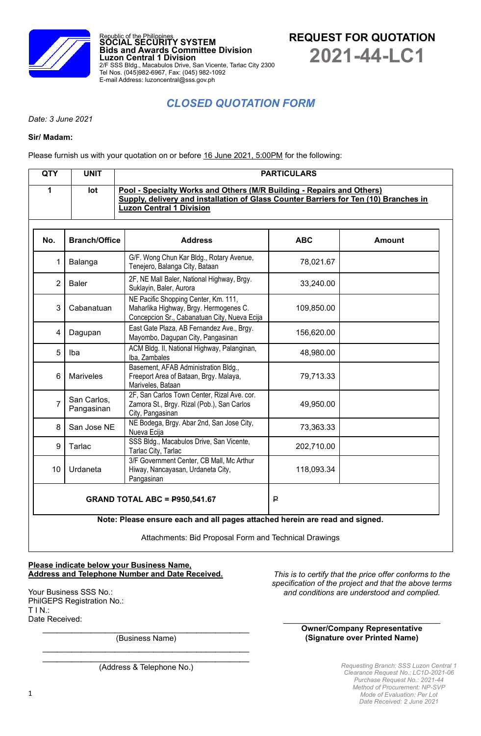

Republic of the Philippines **SOCIAL SECURITY SYSTEM Bids and Awards Committee Division Luzon Central 1 Division** 2/F SSS Bldg., Macabulos Drive, San Vicente, Tarlac City 2300 Tel Nos. (045)982-6967, Fax: (045) 982-1092 E-mail Address: luzoncentral@sss.gov.ph



# *CLOSED QUOTATION FORM*

*Date: 3 June 2021*

#### **Sir/ Madam:**

Please furnish us with your quotation on or before 16 June 2021, 5:00PM for the following:

| <b>QTY</b>                                                                  | <b>UNIT</b>               | <b>PARTICULARS</b>                                                                                                                                                                               |            |               |  |  |  |  |  |
|-----------------------------------------------------------------------------|---------------------------|--------------------------------------------------------------------------------------------------------------------------------------------------------------------------------------------------|------------|---------------|--|--|--|--|--|
| 1                                                                           | lot                       | Pool - Specialty Works and Others (M/R Building - Repairs and Others)<br>Supply, delivery and installation of Glass Counter Barriers for Ten (10) Branches in<br><b>Luzon Central 1 Division</b> |            |               |  |  |  |  |  |
| No.                                                                         | <b>Branch/Office</b>      | <b>Address</b>                                                                                                                                                                                   | <b>ABC</b> | <b>Amount</b> |  |  |  |  |  |
| 1                                                                           | Balanga                   | G/F. Wong Chun Kar Bldg., Rotary Avenue,<br>Tenejero, Balanga City, Bataan                                                                                                                       | 78,021.67  |               |  |  |  |  |  |
| 2                                                                           | <b>Baler</b>              | 2F, NE Mall Baler, National Highway, Brgy.<br>Suklayin, Baler, Aurora                                                                                                                            | 33,240.00  |               |  |  |  |  |  |
| 3                                                                           | Cabanatuan                | NE Pacific Shopping Center, Km. 111,<br>Maharlika Highway, Brgy. Hermogenes C.<br>Concepcion Sr., Cabanatuan City, Nueva Ecija                                                                   | 109,850.00 |               |  |  |  |  |  |
| $\overline{4}$                                                              | Dagupan                   | East Gate Plaza, AB Fernandez Ave., Brgy.<br>Mayombo, Dagupan City, Pangasinan                                                                                                                   | 156,620.00 |               |  |  |  |  |  |
| 5                                                                           | Iba                       | ACM Bldg. II, National Highway, Palanginan,<br>Iba. Zambales                                                                                                                                     | 48,980.00  |               |  |  |  |  |  |
| 6                                                                           | <b>Mariveles</b>          | Basement, AFAB Administration Bldg.,<br>Freeport Area of Bataan, Brgy. Malaya,<br>Mariveles, Bataan                                                                                              | 79,713.33  |               |  |  |  |  |  |
| $\overline{7}$                                                              | San Carlos,<br>Pangasinan | 2F, San Carlos Town Center, Rizal Ave. cor.<br>Zamora St., Brgy. Rizal (Pob.), San Carlos<br>City, Pangasinan                                                                                    | 49,950.00  |               |  |  |  |  |  |
| 8                                                                           | San Jose NE               | NE Bodega, Brgy. Abar 2nd, San Jose City,<br>Nueva Ecija                                                                                                                                         | 73,363.33  |               |  |  |  |  |  |
| 9                                                                           | Tarlac                    | SSS Bldg., Macabulos Drive, San Vicente,<br>Tarlac City, Tarlac                                                                                                                                  | 202,710.00 |               |  |  |  |  |  |
| 10                                                                          | Urdaneta                  | 3/F Government Center, CB Mall, Mc Arthur<br>Hiway, Nancayasan, Urdaneta City,<br>Pangasinan                                                                                                     | 118,093.34 |               |  |  |  |  |  |
|                                                                             |                           | <b>GRAND TOTAL ABC = P950,541.67</b>                                                                                                                                                             | ₽          |               |  |  |  |  |  |
| Note: Please ensure each and all pages attached herein are read and signed. |                           |                                                                                                                                                                                                  |            |               |  |  |  |  |  |

Attachments: Bid Proposal Form and Technical Drawings

#### **Please indicate below your Business Name, Address and Telephone Number and Date Received.**

Your Business SSS No.: PhilGEPS Registration No.: T I N.: Date Received:

> $\mathcal{L}_\text{max}$  , which is a set of the set of the set of the set of the set of the set of the set of the set of the set of the set of the set of the set of the set of the set of the set of the set of the set of the set of (Business Name)  $\mathcal{L}_\text{max}$  , which is a set of the set of the set of the set of the set of the set of the set of the set of the set of the set of the set of the set of the set of the set of the set of the set of the set of the set of

> $\mathcal{L}_\text{max}$  , which is a set of the set of the set of the set of the set of the set of the set of the set of the set of the set of the set of the set of the set of the set of the set of the set of the set of the set of

*This is to certify that the price offer conforms to the specification of the project and that the above terms and conditions are understood and complied.*

#### $\mathcal{L}_\mathcal{L}$  , which is a set of the set of the set of the set of the set of the set of the set of the set of the set of the set of the set of the set of the set of the set of the set of the set of the set of the set of **Owner/Company Representative (Signature over Printed Name)**

Conforme *Date Received: 2 June 2021*(Address & Telephone No.) *Requesting Branch: SSS Luzon Central 1 Requesting Branch: SSS Luzon Central 1 Clearance Request No.: LC1D-2021-06 Purchase Request No.: 2021-44 Method of Procurement: NP-SVP Mode of Evaluation: Per Lot*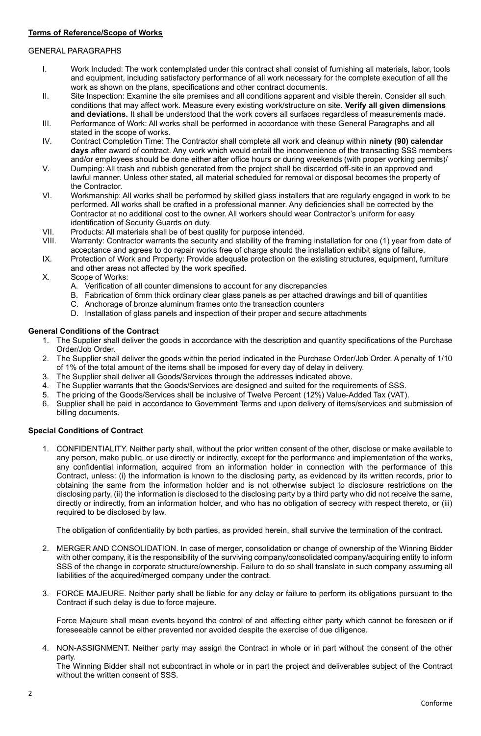# GENERAL PARAGRAPHS

- I. Work Included: The work contemplated under this contract shall consist of furnishing all materials, labor, tools and equipment, including satisfactory performance of all work necessary for the complete execution of all the work as shown on the plans, specifications and other contract documents.
- II. Site Inspection: Examine the site premises and all conditions apparent and visible therein. Consider all such conditions that may affect work. Measure every existing work/structure on site. **Verify all given dimensions and deviations.** It shall be understood that the work covers all surfaces regardless of measurements made.
- III. Performance of Work: All works shall be performed in accordance with these General Paragraphs and all stated in the scope of works.
- IV. Contract Completion Time: The Contractor shall complete all work and cleanup within **ninety (90) calendar days** after award of contract. Any work which would entail the inconvenience of the transacting SSS members and/or employees should be done either after office hours or during weekends (with proper working permits)/
- V. Dumping: All trash and rubbish generated from the project shall be discarded off-site in an approved and lawful manner. Unless other stated, all material scheduled for removal or disposal becomes the property of the Contractor.
- VI. Workmanship: All works shall be performed by skilled glass installers that are regularly engaged in work to be performed. All works shall be crafted in a professional manner. Any deficiencies shall be corrected by the Contractor at no additional cost to the owner. All workers should wear Contractor's uniform for easy identification of Security Guards on duty.
- VII. Products: All materials shall be of best quality for purpose intended.
- VIII. Warranty: Contractor warrants the security and stability of the framing installation for one (1) year from date of acceptance and agrees to do repair works free of charge should the installation exhibit signs of failure.
- IX. Protection of Work and Property: Provide adequate protection on the existing structures, equipment, furniture and other areas not affected by the work specified.
- X. Scope of Works:
	- A. Verification of all counter dimensions to account for any discrepancies
	- B. Fabrication of 6mm thick ordinary clear glass panels as per attached drawings and bill of quantities
	- C. Anchorage of bronze aluminum frames onto the transaction counters
	- D. Installation of glass panels and inspection of their proper and secure attachments

# **General Conditions of the Contract**

- 1. The Supplier shall deliver the goods in accordance with the description and quantity specifications of the Purchase Order/Job Order.
- 2. The Supplier shall deliver the goods within the period indicated in the Purchase Order/Job Order. A penalty of 1/10 of 1% of the total amount of the items shall be imposed for every day of delay in delivery.
- 3. The Supplier shall deliver all Goods/Services through the addresses indicated above.
- 4. The Supplier warrants that the Goods/Services are designed and suited for the requirements of SSS.
- 5. The pricing of the Goods/Services shall be inclusive of Twelve Percent (12%) Value-Added Tax (VAT).
- 6. Supplier shall be paid in accordance to Government Terms and upon delivery of items/services and submission of billing documents.

# **Special Conditions of Contract**

1. CONFIDENTIALITY. Neither party shall, without the prior written consent of the other, disclose or make available to any person, make public, or use directly or indirectly, except for the performance and implementation of the works, any confidential information, acquired from an information holder in connection with the performance of this Contract, unless: (i) the information is known to the disclosing party, as evidenced by its written records, prior to obtaining the same from the information holder and is not otherwise subject to disclosure restrictions on the disclosing party, (ii) the information is disclosed to the disclosing party by a third party who did not receive the same, directly or indirectly, from an information holder, and who has no obligation of secrecy with respect thereto, or (iii) required to be disclosed by law.

The obligation of confidentiality by both parties, as provided herein, shall survive the termination of the contract.

- 2. MERGER AND CONSOLIDATION. In case of merger, consolidation or change of ownership of the Winning Bidder with other company, it is the responsibility of the surviving company/consolidated company/acquiring entity to inform SSS of the change in corporate structure/ownership. Failure to do so shall translate in such company assuming all liabilities of the acquired/merged company under the contract.
- 3. FORCE MAJEURE. Neither party shall be liable for any delay or failure to perform its obligations pursuant to the Contract if such delay is due to force majeure.

Force Majeure shall mean events beyond the control of and affecting either party which cannot be foreseen or if foreseeable cannot be either prevented nor avoided despite the exercise of due diligence.

4. NON-ASSIGNMENT. Neither party may assign the Contract in whole or in part without the consent of the other party.

The Winning Bidder shall not subcontract in whole or in part the project and deliverables subject of the Contract without the written consent of SSS.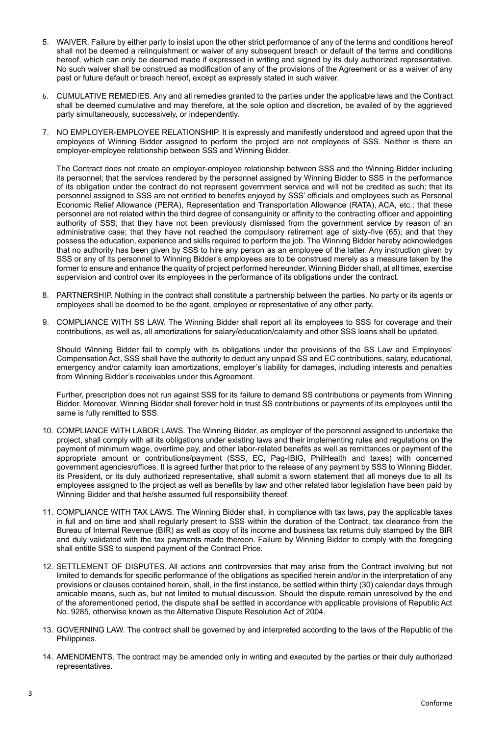- 5. WAIVER. Failure by either party to insist upon the other strict performance of any of the terms and conditions hereof shall not be deemed a relinquishment or waiver of any subsequent breach or default of the terms and conditions hereof, which can only be deemed made if expressed in writing and signed by its duly authorized representative. No such waiver shall be construed as modification of any of the provisions of the Agreement or as a waiver of any past or future default or breach hereof, except as expressly stated in such waiver.
- 6. CUMULATIVE REMEDIES. Any and all remedies granted to the parties under the applicable laws and the Contract shall be deemed cumulative and may therefore, at the sole option and discretion, be availed of by the aggrieved party simultaneously, successively, or independently.
- 7. NO EMPLOYER-EMPLOYEE RELATIONSHIP. It is expressly and manifestly understood and agreed upon that the employees of Winning Bidder assigned to perform the project are not employees of SSS. Neither is there an employer-employee relationship between SSS and Winning Bidder.

The Contract does not create an employer-employee relationship between SSS and the Winning Bidder including its personnel; that the services rendered by the personnel assigned by Winning Bidder to SSS in the performance of its obligation under the contract do not represent government service and will not be credited as such; that its personnel assigned to SSS are not entitled to benefits enjoyed by SSS' officials and employees such as Personal Economic Relief Allowance (PERA), Representation and Transportation Allowance (RATA), ACA, etc.; that these personnel are not related within the third degree of consanguinity or affinity to the contracting officer and appointing authority of SSS; that they have not been previously dismissed from the government service by reason of an administrative case; that they have not reached the compulsory retirement age of sixty-five (65); and that they possess the education, experience and skills required to perform the job. The Winning Bidder hereby acknowledges that no authority has been given by SSS to hire any person as an employee of the latter. Any instruction given by SSS or any of its personnel to Winning Bidder's employees are to be construed merely as a measure taken by the former to ensure and enhance the quality of project performed hereunder. Winning Bidder shall, at all times, exercise supervision and control over its employees in the performance of its obligations under the contract.

- 8. PARTNERSHIP. Nothing in the contract shall constitute a partnership between the parties. No party or its agents or employees shall be deemed to be the agent, employee or representative of any other party.
- 9. COMPLIANCE WITH SS LAW. The Winning Bidder shall report all its employees to SSS for coverage and their contributions, as well as, all amortizations for salary/education/calamity and other SSS loans shall be updated.

Should Winning Bidder fail to comply with its obligations under the provisions of the SS Law and Employees' Compensation Act, SSS shall have the authority to deduct any unpaid SS and EC contributions, salary, educational, emergency and/or calamity loan amortizations, employer's liability for damages, including interests and penalties from Winning Bidder's receivables under this Agreement.

Further, prescription does not run against SSS for its failure to demand SS contributions or payments from Winning Bidder. Moreover, Winning Bidder shall forever hold in trust SS contributions or payments of its employees until the same is fully remitted to SSS.

- 10. COMPLIANCE WITH LABOR LAWS. The Winning Bidder, as employer of the personnel assigned to undertake the project, shall comply with all its obligations under existing laws and their implementing rules and regulations on the payment of minimum wage, overtime pay, and other labor-related benefits as well as remittances or payment of the appropriate amount or contributions/payment (SSS, EC, Pag-IBIG, PhilHealth and taxes) with concerned government agencies/offices. It is agreed further that prior to the release of any payment by SSS to Winning Bidder, its President, or its duly authorized representative, shall submit a sworn statement that all moneys due to all its employees assigned to the project as well as benefits by law and other related labor legislation have been paid by Winning Bidder and that he/she assumed full responsibility thereof.
- 11. COMPLIANCE WITH TAX LAWS. The Winning Bidder shall, in compliance with tax laws, pay the applicable taxes in full and on time and shall regularly present to SSS within the duration of the Contract, tax clearance from the Bureau of Internal Revenue (BIR) as well as copy of its income and business tax returns duly stamped by the BIR and duly validated with the tax payments made thereon. Failure by Winning Bidder to comply with the foregoing shall entitle SSS to suspend payment of the Contract Price.
- 12. SETTLEMENT OF DISPUTES. All actions and controversies that may arise from the Contract involving but not limited to demands for specific performance of the obligations as specified herein and/or in the interpretation of any provisions or clauses contained herein, shall, in the first instance, be settled within thirty (30) calendar days through amicable means, such as, but not limited to mutual discussion. Should the dispute remain unresolved by the end of the aforementioned period, the dispute shall be settled in accordance with applicable provisions of Republic Act No. 9285, otherwise known as the Alternative Dispute Resolution Act of 2004.
- 13. GOVERNING LAW. The contract shall be governed by and interpreted according to the laws of the Republic of the Philippines.
- 14. AMENDMENTS. The contract may be amended only in writing and executed by the parties or their duly authorized representatives.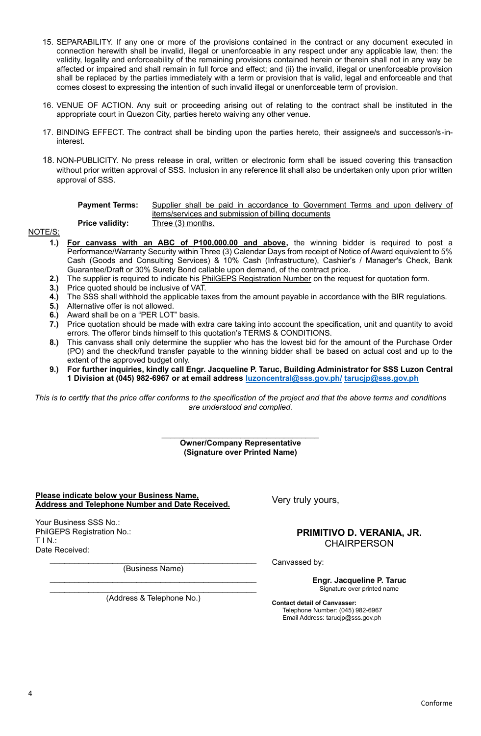- 15. SEPARABILITY. If any one or more of the provisions contained in the contract or any document executed in connection herewith shall be invalid, illegal or unenforceable in any respect under any applicable law, then: the validity, legality and enforceability of the remaining provisions contained herein or therein shall not in any way be affected or impaired and shall remain in full force and effect; and (ii) the invalid, illegal or unenforceable provision shall be replaced by the parties immediately with a term or provision that is valid, legal and enforceable and that comes closest to expressing the intention of such invalid illegal or unenforceable term of provision.
- 16. VENUE OF ACTION. Any suit or proceeding arising out of relating to the contract shall be instituted in the appropriate court in Quezon City, parties hereto waiving any other venue.
- 17. BINDING EFFECT. The contract shall be binding upon the parties hereto, their assignee/s and successor/s-ininterest.
- 18. NON-PUBLICITY. No press release in oral, written or electronic form shall be issued covering this transaction without prior written approval of SSS. Inclusion in any reference lit shall also be undertaken only upon prior written approval of SSS.

#### **Payment Terms:** Supplier shall be paid in accordance to Government Terms and upon delivery of items/services and submission of billing documents **Price validity:** Three (3) months.

# NOTE/S:

- **1.) For canvass with an ABC of P100,000.00 and above,** the winning bidder is required to post a Performance/Warranty Security within Three (3) Calendar Days from receipt of Notice of Award equivalent to 5% Cash (Goods and Consulting Services) & 10% Cash (Infrastructure), Cashier's / Manager's Check, Bank Guarantee/Draft or 30% Surety Bond callable upon demand, of the contract price.
- **2.)** The supplier is required to indicate his PhilGEPS Registration Number on the request for quotation form.
- **3.)** Price quoted should be inclusive of VAT.
- **4.)** The SSS shall withhold the applicable taxes from the amount payable in accordance with the BIR regulations.
- **5.)** Alternative offer is not allowed.
- **6.)** Award shall be on a "PER LOT" basis.
- **7.)** Price quotation should be made with extra care taking into account the specification, unit and quantity to avoid errors. The offeror binds himself to this quotation's TERMS & CONDITIONS.
- **8.)** This canvass shall only determine the supplier who has the lowest bid for the amount of the Purchase Order (PO) and the check/fund transfer payable to the winning bidder shall be based on actual cost and up to the extent of the approved budget only.
- **9.) For further inquiries, kindly call Engr. Jacqueline P. Taruc, Building Administrator for SSS Luzon Central 1 Division at (045) 982-6967 or at email address [luzoncentral@sss.gov.ph/](mailto:luzoncentral@sss.gov.ph/) [tarucjp@sss.gov.ph](mailto:tarucjp@sss.gov.ph)**

*This is to certify that the price offer conforms to the specification of the project and that the above terms and conditions are understood and complied.*

> **Owner/Company Representative (Signature over Printed Name)**

**Please indicate below your Business Name, Address and Telephone Number and Date Received.**

Your Business SSS No.: PhilGEPS Registration No.: T I N.: Date Received:

> $\mathcal{L}_\text{max}$  , where  $\mathcal{L}_\text{max}$  and  $\mathcal{L}_\text{max}$  and  $\mathcal{L}_\text{max}$  and  $\mathcal{L}_\text{max}$ (Business Name)

> $\mathcal{L}_\text{max}$  , where  $\mathcal{L}_\text{max}$  and  $\mathcal{L}_\text{max}$  and  $\mathcal{L}_\text{max}$  and  $\mathcal{L}_\text{max}$ (Address & Telephone No.)

Very truly yours,

# **PRIMITIVO D. VERANIA, JR. CHAIRPERSON**

Canvassed by:

**Engr. Jacqueline P. Taruc** Signature over printed name

**Contact detail of Canvasser:** Telephone Number: (045) 982-6967 Email Address: tarucjp@sss.gov.ph